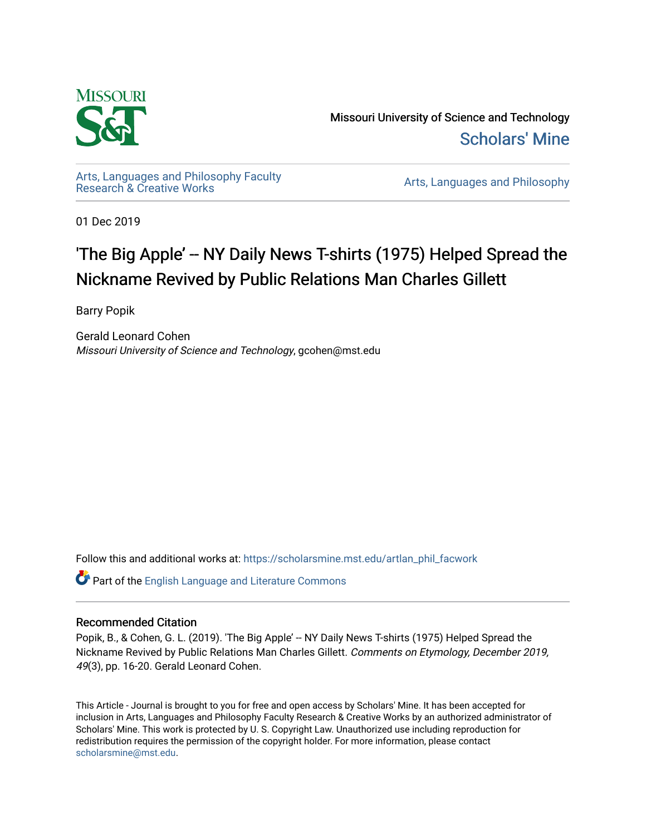

Missouri University of Science and Technology [Scholars' Mine](https://scholarsmine.mst.edu/) 

[Arts, Languages and Philosophy Faculty](https://scholarsmine.mst.edu/artlan_phil_facwork) 

Arts, Languages and Philosophy

01 Dec 2019

# 'The Big Apple' -- NY Daily News T-shirts (1975) Helped Spread the Nickname Revived by Public Relations Man Charles Gillett

Barry Popik

Gerald Leonard Cohen Missouri University of Science and Technology, gcohen@mst.edu

Follow this and additional works at: [https://scholarsmine.mst.edu/artlan\\_phil\\_facwork](https://scholarsmine.mst.edu/artlan_phil_facwork?utm_source=scholarsmine.mst.edu%2Fartlan_phil_facwork%2F160&utm_medium=PDF&utm_campaign=PDFCoverPages) 

Part of the [English Language and Literature Commons](http://network.bepress.com/hgg/discipline/455?utm_source=scholarsmine.mst.edu%2Fartlan_phil_facwork%2F160&utm_medium=PDF&utm_campaign=PDFCoverPages)

#### Recommended Citation

Popik, B., & Cohen, G. L. (2019). 'The Big Apple' -- NY Daily News T-shirts (1975) Helped Spread the Nickname Revived by Public Relations Man Charles Gillett. Comments on Etymology, December 2019, 49(3), pp. 16-20. Gerald Leonard Cohen.

This Article - Journal is brought to you for free and open access by Scholars' Mine. It has been accepted for inclusion in Arts, Languages and Philosophy Faculty Research & Creative Works by an authorized administrator of Scholars' Mine. This work is protected by U. S. Copyright Law. Unauthorized use including reproduction for redistribution requires the permission of the copyright holder. For more information, please contact [scholarsmine@mst.edu.](mailto:scholarsmine@mst.edu)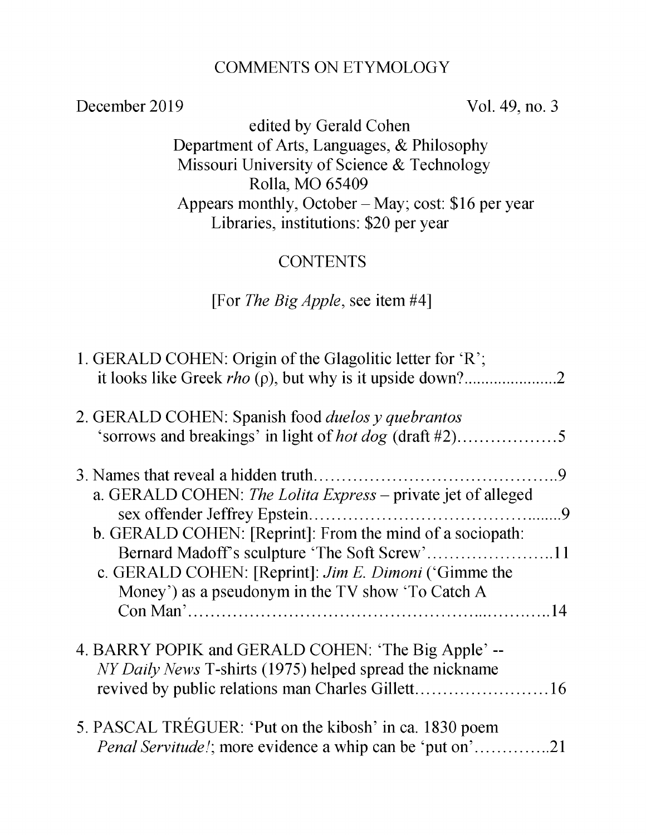#### COMMENTS ON ETYMOLOGY

December 2019 Vol. 49, no. 3

edited by Gerald Cohen Department of Arts, Languages, & Philosophy Missouri University of Science & Technology Rolla, MO 65409 Appears monthly, October - May; cost: \$16 per year Libraries, institutions: \$20 per year

## **CONTENTS**

#### [For *The Big Apple,* see item #4]

| 1. GERALD COHEN: Origin of the Glagolitic letter for 'R';                                                                   |  |
|-----------------------------------------------------------------------------------------------------------------------------|--|
| 2. GERALD COHEN: Spanish food <i>duelos y quebrantos</i><br>'sorrows and breakings' in light of <i>hot dog</i> (draft #2)5  |  |
|                                                                                                                             |  |
| a. GERALD COHEN: The Lolita Express - private jet of alleged                                                                |  |
| b. GERALD COHEN: [Reprint]: From the mind of a sociopath:                                                                   |  |
| c. GERALD COHEN: [Reprint]: <i>Jim E. Dimoni</i> ('Gimme the<br>Money') as a pseudonym in the TV show 'To Catch A           |  |
| 4. BARRY POPIK and GERALD COHEN: 'The Big Apple' --<br>NY Daily News T-shirts (1975) helped spread the nickname             |  |
| 5. PASCAL TRÉGUER: 'Put on the kibosh' in ca. 1830 poem<br><i>Penal Servitude!</i> ; more evidence a whip can be 'put on'21 |  |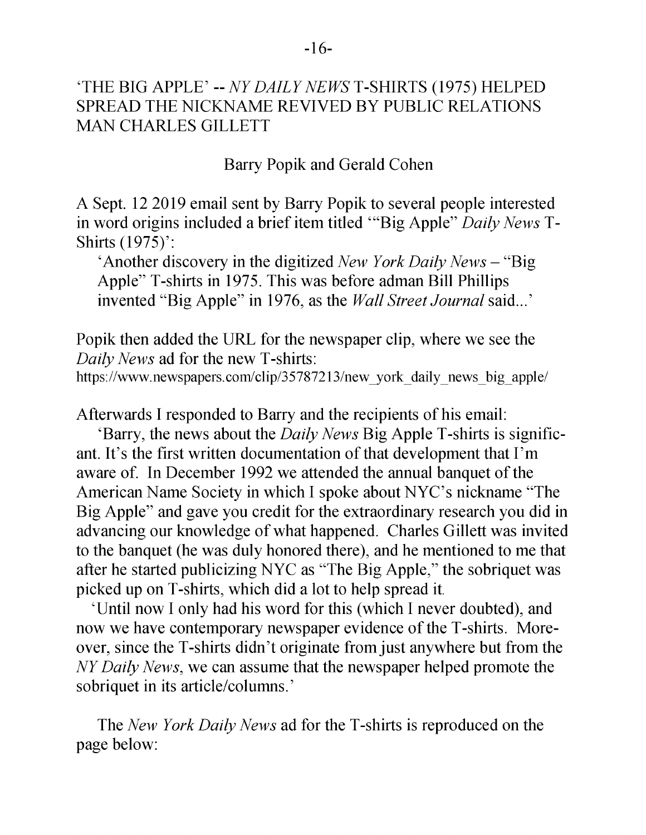#### 'THE BIG APPLE' -- *NY DAILY NEWS* T-SHIRTS (1975) HELPED SPREAD THE NICKNAME REVIVED BY PUBLIC RELATIONS MAN CHARLES GILLETT

Barry Popik and Gerald Cohen

A Sept. 12 2019 email sent by Barry Popik to several people interested in word origins included a brief item titled '"Big Apple" *Daily News* T-Shirts (1975)':

'Another discovery in the digitized *New York Daily News* - "Big Apple" T-shirts in 1975. This was before adman Bill Phillips invented "Big Apple" in 1976, as the *Wall Street Journal* said...'

Popik then added the URL for the newspaper clip, where we see the *Daily News* ad for the new T-shirts:

https://www.newspapers.com/clip/35787213/new york daily news big apple/

Afterwards I responded to Barry and the recipients of his email:

'Barry, the news about the *Daily News* Big Apple T-shirts is significant. It's the first written documentation of that development that I'm aware of. In December 1992 we attended the annual banquet of the American Name Society in which I spoke about NYC's nickname "The Big Apple" and gave you credit for the extraordinary research you did in advancing our knowledge of what happened. Charles Gillett was invited to the banquet (he was duly honored there), and he mentioned to me that after he started publicizing NYC as "The Big Apple," the sobriquet was picked up on T-shirts, which did a lot to help spread it.

'Until now I only had his word for this (which I never doubted), and now we have contemporary newspaper evidence of the T-shirts. Moreover, since the T-shirts didn't originate from just anywhere but from the *NY Daily News,* we can assume that the newspaper helped promote the sobriquet in its article/columns.'

The *New York Daily News* ad for the T-shirts is reproduced on the page below: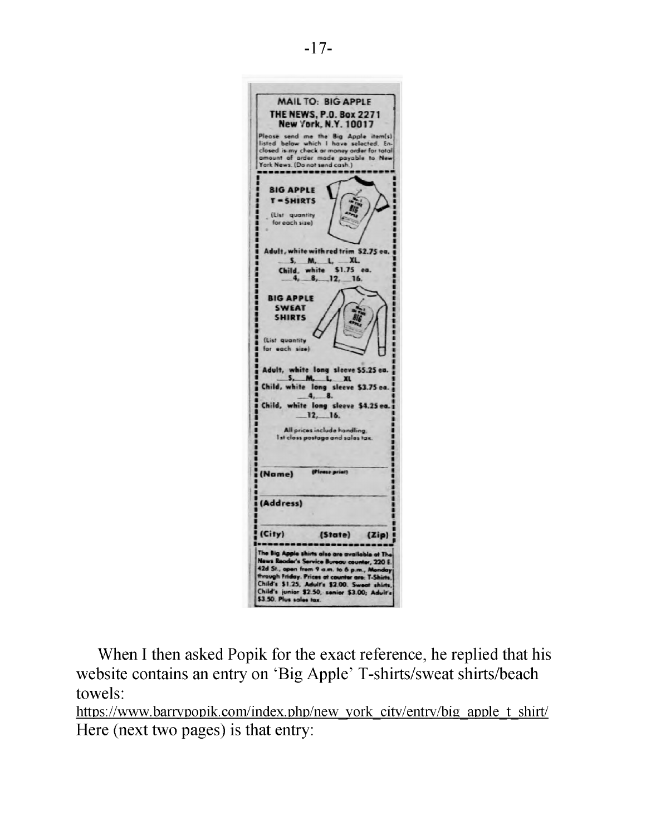

When I then asked Popik for the exact reference, he replied that his website contains an entry on 'Big Apple' T-shirts/sweat shirts/beach towels:

[https://www.barrypopik.com/index.php/new york city/entry/big apple t shirt/](https://www.barrypopik.com/index.php/new_york_city/entry/big_apple_t_shirt/) Here (next two pages) is that entry: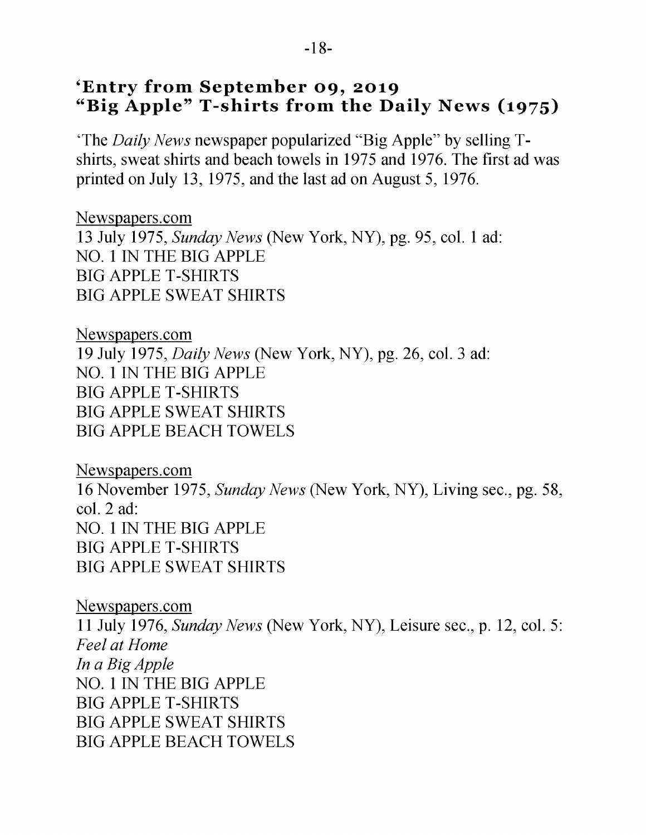## **'Entry from September 09, 2019** "Big Apple" T-shirts from the Daily News (1975)

'The *Daily News* newspaper popularized "Big Apple" by selling Tshirts, sweat shirts and beach towels in 1975 and 1976. The first ad was printed on July 13, 1975, and the last ad on August 5, 1976.

[Newspapers.com](https://www.newspapers.com/clip/35822770/no_1_in_the_big_apple_daily_news/) 13 July 1975, *Sunday News* (New York, NY), pg. 95, col. 1 ad: NO. 1 IN THE BIG APPLE BIG APPLE T-SHIRTS BIG APPLE SWEAT SHIRTS

[Newspapers.com](https://www.newspapers.com/clip/35823024/big_apple_tshirts_and_beach_towels/) 19 July 1975, *Daily News* (New York, NY), pg. 26, col. 3 ad: NO. 1 IN THE BIG APPLE BIG APPLE T-SHIRTS BIG APPLE SWEAT SHIRTS BIG APPLE BEACH TOWELS

[Newspapers.com](https://www.newspapers.com/clip/35787213/new_york_daily_news_big_apple/) 16 November 1975, *Sunday News* (New York, NY), Living sec., pg. 58, col. 2 ad: NO. 1 IN THE BIG APPLE BIG APPLE T-SHIRTS BIG APPLE SWEAT SHIRTS

[Newspapers.com](https://www.newspapers.com/clip/35827681/big_apple_tshirts_and_sweat_shirts/) 11 July 1976, *Sunday News* (New York, NY), Leisure sec., p. 12, col. 5: *Feel at Home In a Big Apple* NO. 1 IN THE BIG APPLE BIG APPLE T-SHIRTS BIG APPLE SWEAT SHIRTS BIG APPLE BEACH TOWELS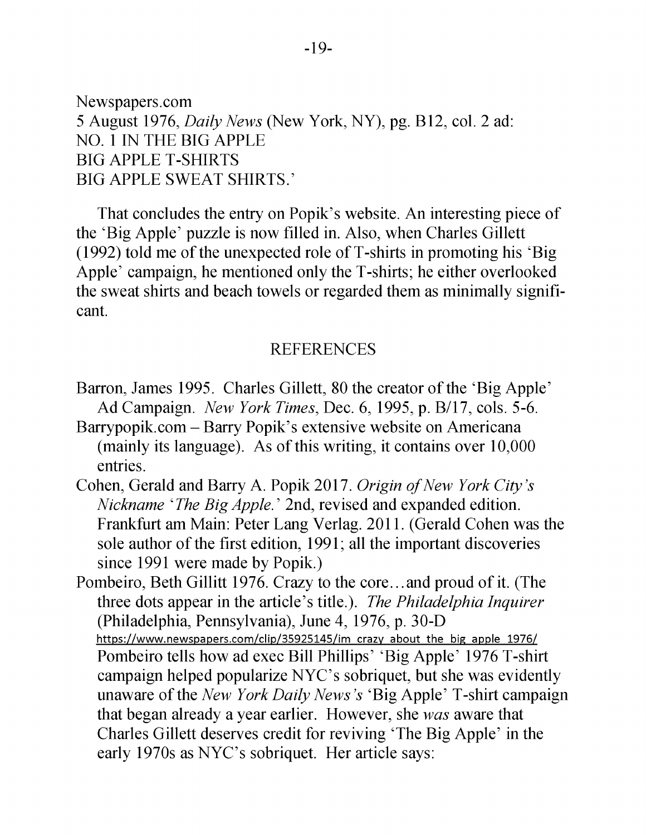[Newspapers.com](https://www.newspapers.com/clip/35822935/big_apple_tshirts_from_the_daily_news/) 5 August 1976, *Daily News* (New York, NY), pg. B12, col. 2 ad: NO. 1 IN THE BIG APPLE BIG APPLE T-SHIRTS BIG APPLE SWEAT SHIRTS.'

That concludes the entry on Popik's website. An interesting piece of the 'Big Apple' puzzle is now filled in. Also, when Charles Gillett (1992) told me of the unexpected role of T-shirts in promoting his 'Big Apple' campaign, he mentioned only the T-shirts; he either overlooked the sweat shirts and beach towels or regarded them as minimally significant.

#### REFERENCES

- Barron, James 1995. Charles Gillett, 80 the creator of the 'Big Apple' Ad Campaign. *New York Times,* Dec. 6, 1995, p. B/17, cols. 5-6.
- Barrypopik.com Barry Popik's extensive website on Americana (mainly its language). As of this writing, it contains over 10,000 entries.
- Cohen, Gerald and Barry A. Popik 2017. *Origin of New York City's Nickname 'The Big Apple*.' 2nd, revised and expanded edition. Frankfurt am Main: Peter Lang Verlag. 2011. (Gerald Cohen was the sole author of the first edition, 1991; all the important discoveries since 1991 were made by Popik.)
- Pombeiro, Beth Gillitt 1976. Crazy to the core.. .and proud of it. (The three dots appear in the article's title.). *The Philadelphia Inquirer* (Philadelphia, Pennsylvania), June 4, 1976, p. 30-D [https://www.newspapers.com/clip/35925145/im crazy about the big apple 1976/](https://www.newspapers.com/clip/35925145/im_crazy_about_the_big_apple_1976/) Pombeiro tells how ad exec Bill Phillips' 'Big Apple' 1976 T-shirt campaign helped popularize NYC's sobriquet, but she was evidently unaware of the *New York Daily News's* 'Big Apple' T-shirt campaign that began already a year earlier. However, she *was* aware that Charles Gillett deserves credit for reviving 'The Big Apple' in the early 1970s as NYC's sobriquet. Her article says: